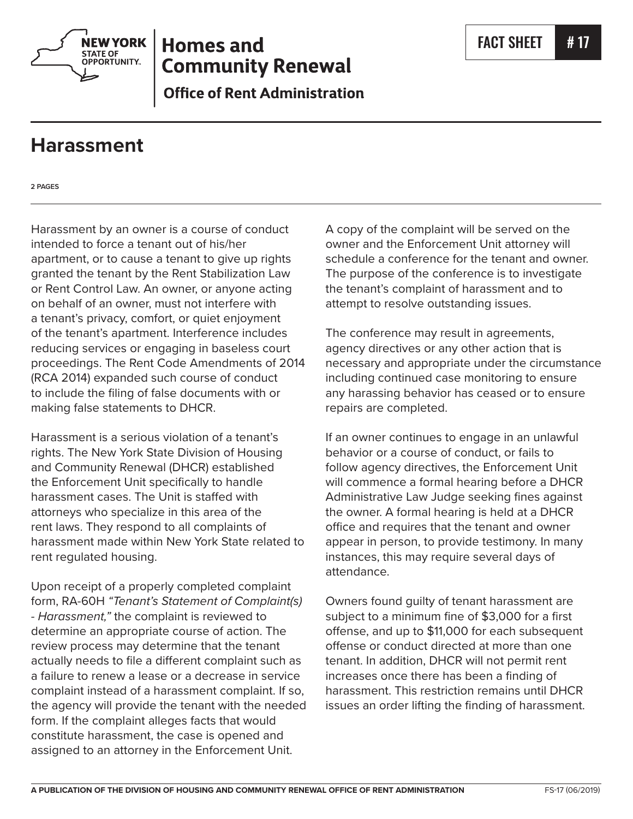

# **Homes and Community Renewal**

**Office of Rent Administration** 

## **Harassment**

**2 PAGES**

Harassment by an owner is a course of conduct intended to force a tenant out of his/her apartment, or to cause a tenant to give up rights granted the tenant by the Rent Stabilization Law or Rent Control Law. An owner, or anyone acting on behalf of an owner, must not interfere with a tenant's privacy, comfort, or quiet enjoyment of the tenant's apartment. Interference includes reducing services or engaging in baseless court proceedings. The Rent Code Amendments of 2014 (RCA 2014) expanded such course of conduct to include the filing of false documents with or making false statements to DHCR.

Harassment is a serious violation of a tenant's rights. The New York State Division of Housing and Community Renewal (DHCR) established the Enforcement Unit specifically to handle harassment cases. The Unit is staffed with attorneys who specialize in this area of the rent laws. They respond to all complaints of harassment made within New York State related to rent regulated housing.

Upon receipt of a properly completed complaint form, RA-60H *"Tenant's Statement of Complaint(s) - Harassment,"* the complaint is reviewed to determine an appropriate course of action. The review process may determine that the tenant actually needs to file a different complaint such as a failure to renew a lease or a decrease in service complaint instead of a harassment complaint. If so, the agency will provide the tenant with the needed form. If the complaint alleges facts that would constitute harassment, the case is opened and assigned to an attorney in the Enforcement Unit.

A copy of the complaint will be served on the owner and the Enforcement Unit attorney will schedule a conference for the tenant and owner. The purpose of the conference is to investigate the tenant's complaint of harassment and to attempt to resolve outstanding issues.

The conference may result in agreements, agency directives or any other action that is necessary and appropriate under the circumstance including continued case monitoring to ensure any harassing behavior has ceased or to ensure repairs are completed.

If an owner continues to engage in an unlawful behavior or a course of conduct, or fails to follow agency directives, the Enforcement Unit will commence a formal hearing before a DHCR Administrative Law Judge seeking fines against the owner. A formal hearing is held at a DHCR office and requires that the tenant and owner appear in person, to provide testimony. In many instances, this may require several days of attendance.

Owners found guilty of tenant harassment are subject to a minimum fine of \$3,000 for a first offense, and up to \$11,000 for each subsequent offense or conduct directed at more than one tenant. In addition, DHCR will not permit rent increases once there has been a finding of harassment. This restriction remains until DHCR issues an order lifting the finding of harassment.